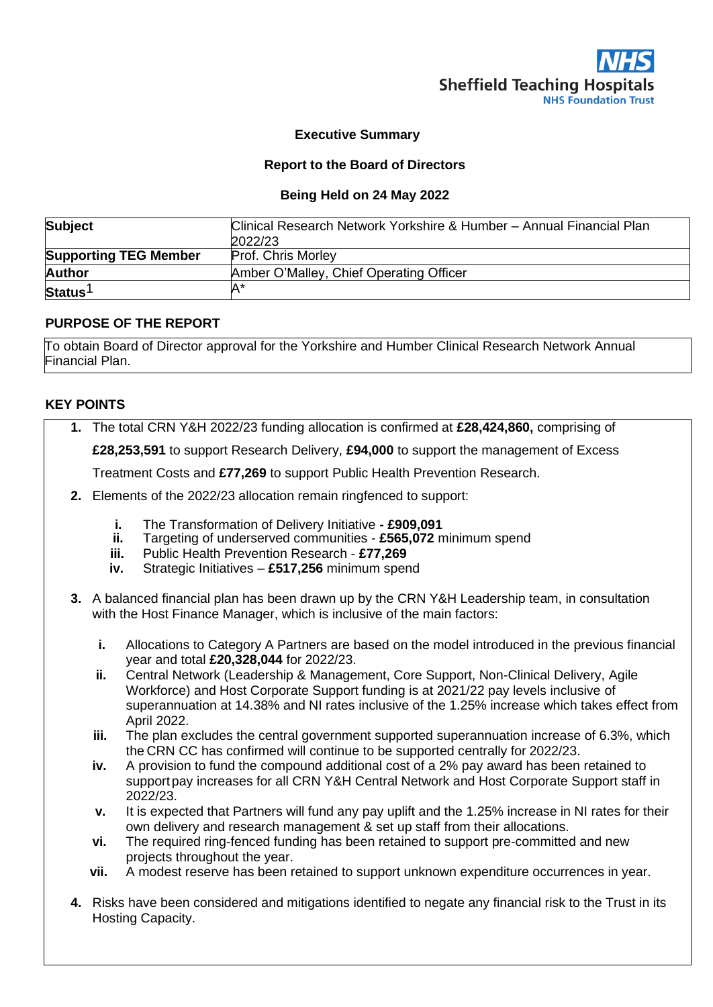

#### **Executive Summary**

#### **Report to the Board of Directors**

#### **Being Held on 24 May 2022**

| <b>Subject</b>               | Clinical Research Network Yorkshire & Humber - Annual Financial Plan<br>2022/23 |
|------------------------------|---------------------------------------------------------------------------------|
| <b>Supporting TEG Member</b> | <b>Prof. Chris Morley</b>                                                       |
| <b>Author</b>                | Amber O'Malley, Chief Operating Officer                                         |
| Status <sup>1</sup>          | 'A                                                                              |

#### **PURPOSE OF THE REPORT**

To obtain Board of Director approval for the Yorkshire and Humber Clinical Research Network Annual Financial Plan.

#### **KEY POINTS**

**1.** The total CRN Y&H 2022/23 funding allocation is confirmed at **£28,424,860,** comprising of

**£28,253,591** to support Research Delivery, **£94,000** to support the management of Excess

Treatment Costs and **£77,269** to support Public Health Prevention Research.

- **2.** Elements of the 2022/23 allocation remain ringfenced to support:
	- **i.** The Transformation of Delivery Initiative **- £909,091**
	- **ii.** Targeting of underserved communities **£565,072** minimum spend
	- **iii.** Public Health Prevention Research **£77,269**
	- **iv.** Strategic Initiatives **£517,256** minimum spend
- **3.** A balanced financial plan has been drawn up by the CRN Y&H Leadership team, in consultation with the Host Finance Manager, which is inclusive of the main factors:
	- **i.** Allocations to Category A Partners are based on the model introduced in the previous financial year and total **£20,328,044** for 2022/23.
	- **ii.** Central Network (Leadership & Management, Core Support, Non-Clinical Delivery, Agile Workforce) and Host Corporate Support funding is at 2021/22 pay levels inclusive of superannuation at 14.38% and NI rates inclusive of the 1.25% increase which takes effect from April 2022.
	- **iii.** The plan excludes the central government supported superannuation increase of 6.3%, which the CRN CC has confirmed will continue to be supported centrally for 2022/23.
	- **iv.** A provision to fund the compound additional cost of a 2% pay award has been retained to support pay increases for all CRN Y&H Central Network and Host Corporate Support staff in 2022/23.
	- **v.** It is expected that Partners will fund any pay uplift and the 1.25% increase in NI rates for their own delivery and research management & set up staff from their allocations.
	- **vi.** The required ring-fenced funding has been retained to support pre-committed and new projects throughout the year.
	- **vii.** A modest reserve has been retained to support unknown expenditure occurrences in year.
- **4.** Risks have been considered and mitigations identified to negate any financial risk to the Trust in its Hosting Capacity.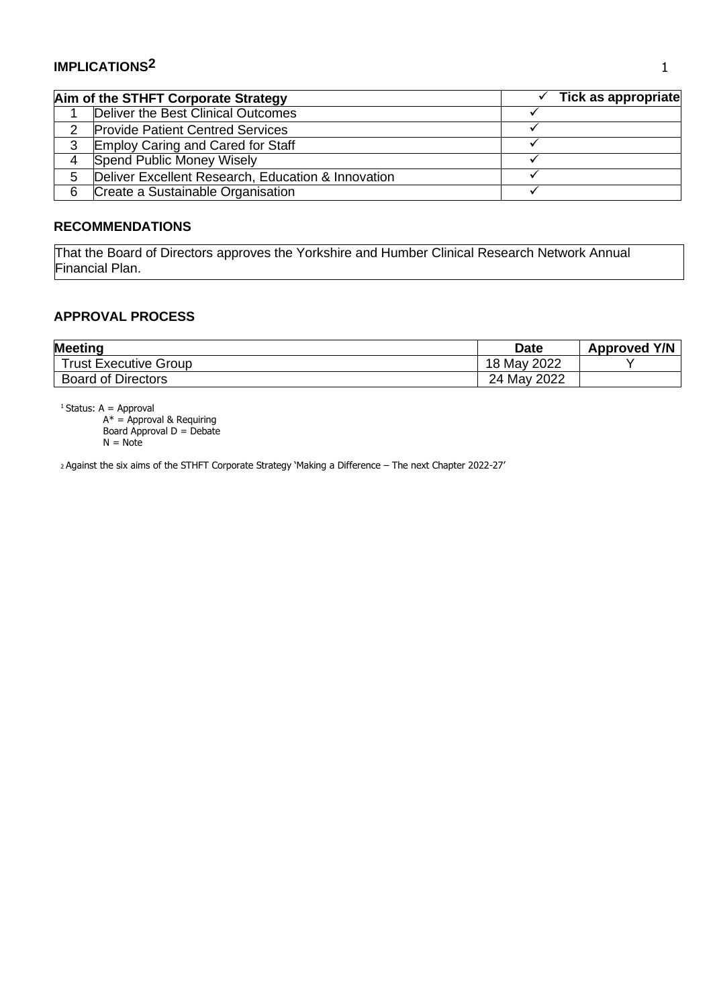## **IMPLICATIONS2**

|   | Aim of the STHFT Corporate Strategy                | Tick as appropriate |
|---|----------------------------------------------------|---------------------|
|   | Deliver the Best Clinical Outcomes                 |                     |
|   | <b>Provide Patient Centred Services</b>            |                     |
| 3 | <b>Employ Caring and Cared for Staff</b>           |                     |
|   | Spend Public Money Wisely                          |                     |
| 5 | Deliver Excellent Research, Education & Innovation |                     |
| 6 | Create a Sustainable Organisation                  |                     |

#### **RECOMMENDATIONS**

That the Board of Directors approves the Yorkshire and Humber Clinical Research Network Annual Financial Plan.

## **APPROVAL PROCESS**

| <b>Meeting</b>               | <b>Date</b> | <b>Approved Y/N</b> |
|------------------------------|-------------|---------------------|
| <b>Trust Executive Group</b> | 18 May 2022 |                     |
| <b>Board of Directors</b>    | 24 May 2022 |                     |

 $<sup>1</sup>$  Status: A = Approval</sup>

A\* = Approval & Requiring Board Approval D = Debate

 $N = Note$ 

<sup>2</sup>Against the six aims of the STHFT Corporate Strategy 'Making a Difference – The next Chapter 2022-27'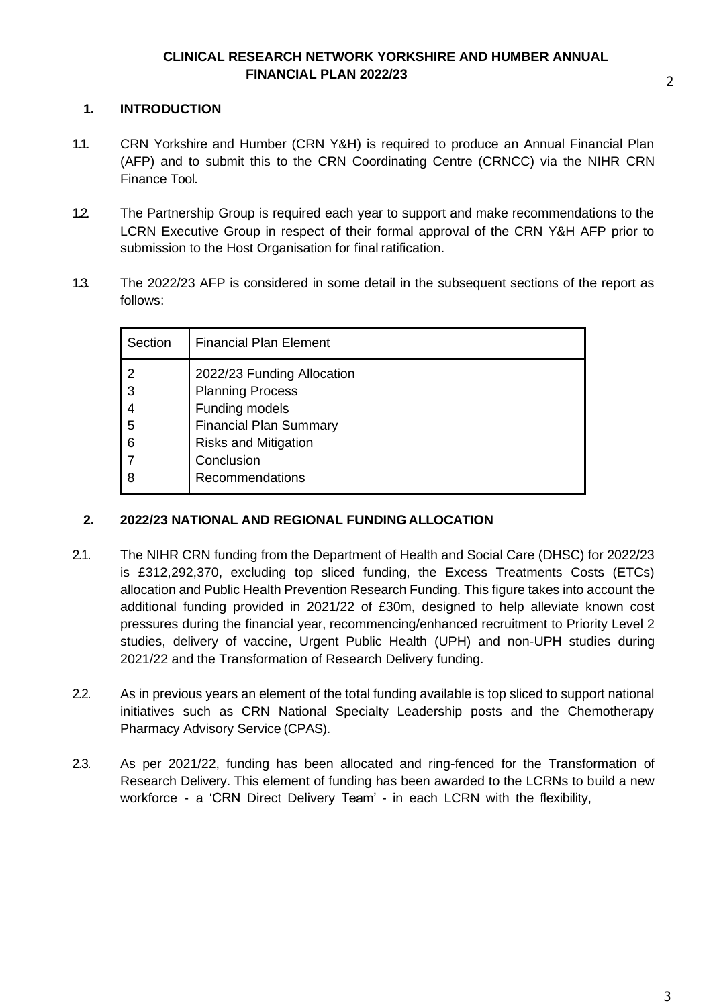#### **CLINICAL RESEARCH NETWORK YORKSHIRE AND HUMBER ANNUAL FINANCIAL PLAN 2022/23**

#### **1. INTRODUCTION**

- 1.1. CRN Yorkshire and Humber (CRN Y&H) is required to produce an Annual Financial Plan (AFP) and to submit this to the CRN Coordinating Centre (CRNCC) via the NIHR CRN Finance Tool.
- 1.2. The Partnership Group is required each year to support and make recommendations to the LCRN Executive Group in respect of their formal approval of the CRN Y&H AFP prior to submission to the Host Organisation for final ratification.
- 1.3. The 2022/23 AFP is considered in some detail in the subsequent sections of the report as follows:

| Section               | <b>Financial Plan Element</b>                                                                                                                         |
|-----------------------|-------------------------------------------------------------------------------------------------------------------------------------------------------|
| 2<br>3<br>4<br>5<br>6 | 2022/23 Funding Allocation<br><b>Planning Process</b><br>Funding models<br><b>Financial Plan Summary</b><br><b>Risks and Mitigation</b><br>Conclusion |
| 8                     | Recommendations                                                                                                                                       |

## **2. 2022/23 NATIONAL AND REGIONAL FUNDINGALLOCATION**

- 2.1. The NIHR CRN funding from the Department of Health and Social Care (DHSC) for 2022/23 is £312,292,370, excluding top sliced funding, the Excess Treatments Costs (ETCs) allocation and Public Health Prevention Research Funding. This figure takes into account the additional funding provided in 2021/22 of £30m, designed to help alleviate known cost pressures during the financial year, recommencing/enhanced recruitment to Priority Level 2 studies, delivery of vaccine, Urgent Public Health (UPH) and non-UPH studies during 2021/22 and the Transformation of Research Delivery funding.
- 2.2. As in previous years an element of the total funding available is top sliced to support national initiatives such as CRN National Specialty Leadership posts and the Chemotherapy Pharmacy Advisory Service (CPAS).
- 2.3. As per 2021/22, funding has been allocated and ring-fenced for the Transformation of Research Delivery. This element of funding has been awarded to the LCRNs to build a new workforce - a 'CRN Direct Delivery Team' - in each LCRN with the flexibility,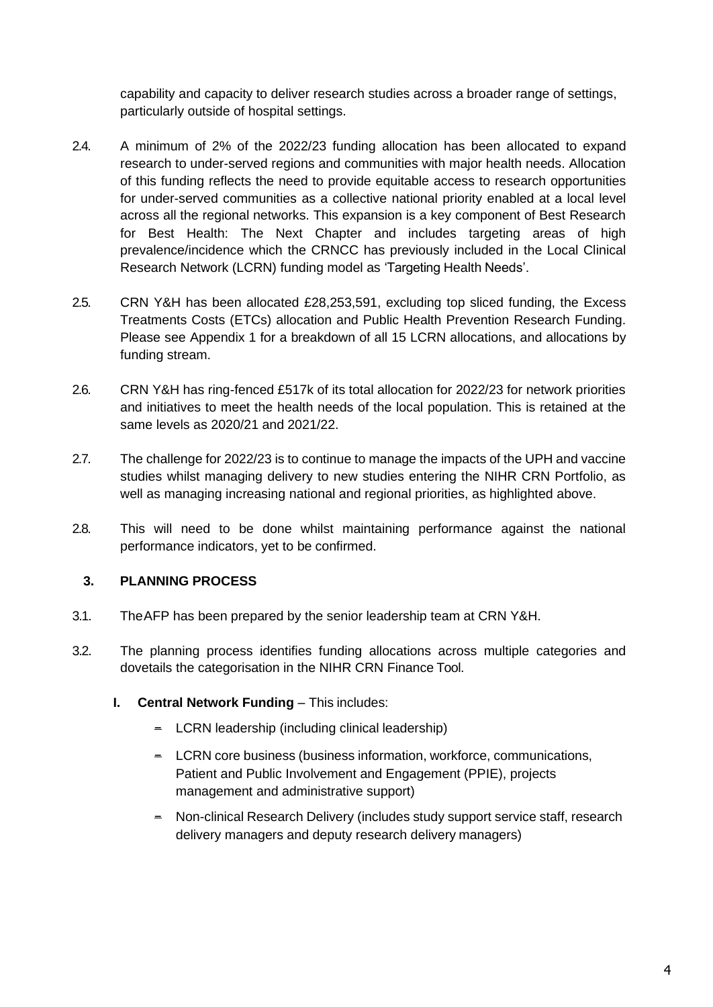capability and capacity to deliver research studies across a broader range of settings, particularly outside of hospital settings.

- 2.4. A minimum of 2% of the 2022/23 funding allocation has been allocated to expand research to under-served regions and communities with major health needs. Allocation of this funding reflects the need to provide equitable access to research opportunities for under-served communities as a collective national priority enabled at a local level across all the regional networks. This expansion is a key component of Best Research for Best Health: The Next Chapter and includes targeting areas of high prevalence/incidence which the CRNCC has previously included in the Local Clinical Research Network (LCRN) funding model as 'Targeting Health Needs'.
- 2.5. CRN Y&H has been allocated £28,253,591, excluding top sliced funding, the Excess Treatments Costs (ETCs) allocation and Public Health Prevention Research Funding. Please see Appendix 1 for a breakdown of all 15 LCRN allocations, and allocations by funding stream.
- 2.6. CRN Y&H has ring-fenced £517k of its total allocation for 2022/23 for network priorities and initiatives to meet the health needs of the local population. This is retained at the same levels as 2020/21 and 2021/22.
- 2.7. The challenge for 2022/23 is to continue to manage the impacts of the UPH and vaccine studies whilst managing delivery to new studies entering the NIHR CRN Portfolio, as well as managing increasing national and regional priorities, as highlighted above.
- 2.8. This will need to be done whilst maintaining performance against the national performance indicators, yet to be confirmed.

## **3. PLANNING PROCESS**

- 3.1. TheAFP has been prepared by the senior leadership team at CRN Y&H.
- 3.2. The planning process identifies funding allocations across multiple categories and dovetails the categorisation in the NIHR CRN Finance Tool.
	- **I. Central Network Funding This includes:** 
		- − LCRN leadership (including clinical leadership)
		- − LCRN core business (business information, workforce, communications, Patient and Public Involvement and Engagement (PPIE), projects management and administrative support)
		- − Non-clinical Research Delivery (includes study support service staff, research delivery managers and deputy research delivery managers)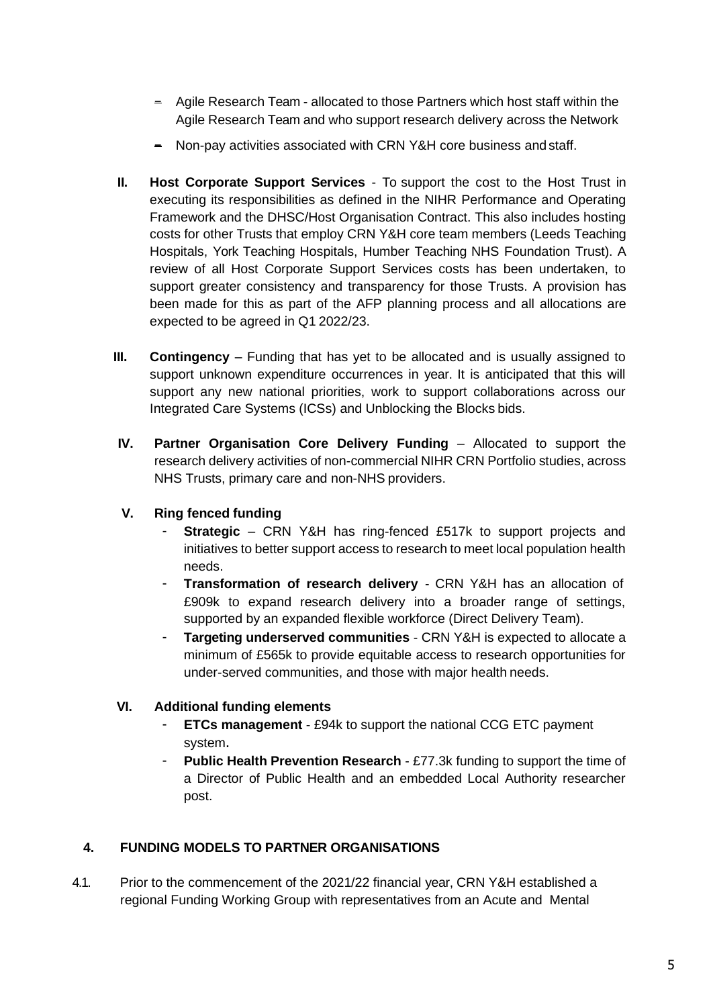- − Agile Research Team allocated to those Partners which host staff within the Agile Research Team and who support research delivery across the Network
- − Non-pay activities associated with CRN Y&H core business and staff.
- **II. Host Corporate Support Services**  To support the cost to the Host Trust in executing its responsibilities as defined in the NIHR Performance and Operating Framework and the DHSC/Host Organisation Contract. This also includes hosting costs for other Trusts that employ CRN Y&H core team members (Leeds Teaching Hospitals, York Teaching Hospitals, Humber Teaching NHS Foundation Trust). A review of all Host Corporate Support Services costs has been undertaken, to support greater consistency and transparency for those Trusts. A provision has been made for this as part of the AFP planning process and all allocations are expected to be agreed in Q1 2022/23.
- **III. Contingency** Funding that has yet to be allocated and is usually assigned to support unknown expenditure occurrences in year. It is anticipated that this will support any new national priorities, work to support collaborations across our Integrated Care Systems (ICSs) and Unblocking the Blocks bids.
- **IV.** Partner Organisation Core Delivery Funding Allocated to support the research delivery activities of non-commercial NIHR CRN Portfolio studies, across NHS Trusts, primary care and non-NHS providers.
- **V. Ring fenced funding**
	- **Strategic** CRN Y&H has ring-fenced £517k to support projects and initiatives to better support access to research to meet local population health needs.
	- **Transformation of research delivery** CRN Y&H has an allocation of £909k to expand research delivery into a broader range of settings, supported by an expanded flexible workforce (Direct Delivery Team).
	- **Targeting underserved communities**  CRN Y&H is expected to allocate a minimum of £565k to provide equitable access to research opportunities for under-served communities, and those with major health needs.

## **VI. Additional funding elements**

- **ETCs management** £94k to support the national CCG ETC payment system.
- **Public Health Prevention Research**  £77.3k funding to support the time of a Director of Public Health and an embedded Local Authority researcher post.

## **4. FUNDING MODELS TO PARTNER ORGANISATIONS**

4.1. Prior to the commencement of the 2021/22 financial year, CRN Y&H established a regional Funding Working Group with representatives from an Acute and Mental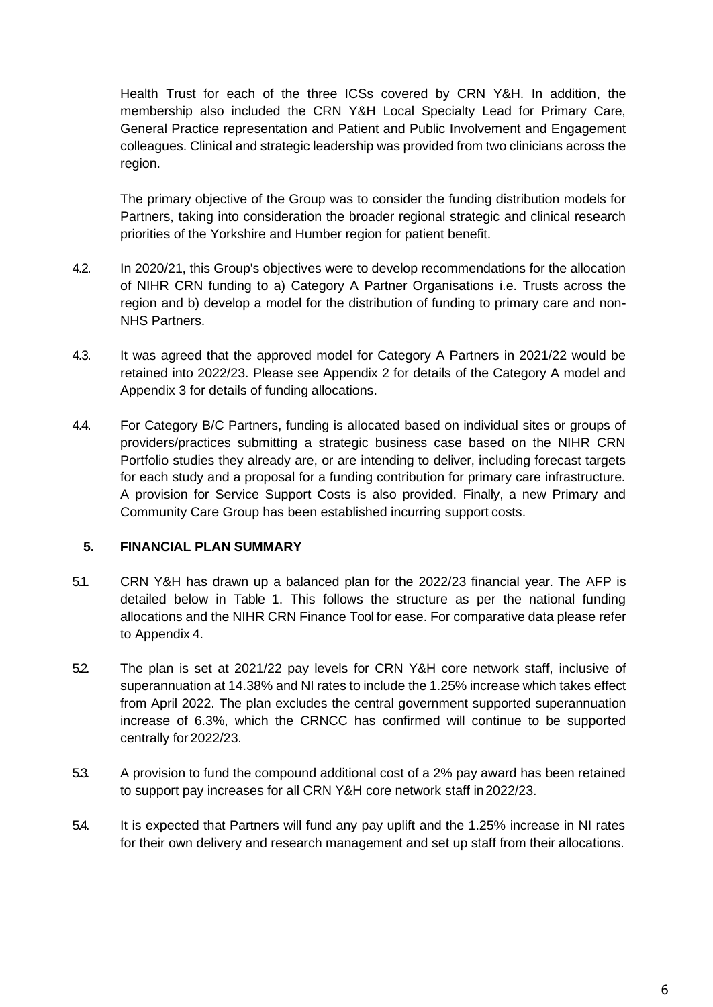Health Trust for each of the three ICSs covered by CRN Y&H. In addition, the membership also included the CRN Y&H Local Specialty Lead for Primary Care, General Practice representation and Patient and Public Involvement and Engagement colleagues. Clinical and strategic leadership was provided from two clinicians across the region.

The primary objective of the Group was to consider the funding distribution models for Partners, taking into consideration the broader regional strategic and clinical research priorities of the Yorkshire and Humber region for patient benefit.

- 4.2. In 2020/21, this Group's objectives were to develop recommendations for the allocation of NIHR CRN funding to a) Category A Partner Organisations i.e. Trusts across the region and b) develop a model for the distribution of funding to primary care and non-NHS Partners.
- 4.3. It was agreed that the approved model for Category A Partners in 2021/22 would be retained into 2022/23. Please see Appendix 2 for details of the Category A model and Appendix 3 for details of funding allocations.
- 4.4. For Category B/C Partners, funding is allocated based on individual sites or groups of providers/practices submitting a strategic business case based on the NIHR CRN Portfolio studies they already are, or are intending to deliver, including forecast targets for each study and a proposal for a funding contribution for primary care infrastructure. A provision for Service Support Costs is also provided. Finally, a new Primary and Community Care Group has been established incurring support costs.

## **5. FINANCIAL PLAN SUMMARY**

- 5.1. CRN Y&H has drawn up a balanced plan for the 2022/23 financial year. The AFP is detailed below in Table 1. This follows the structure as per the national funding allocations and the NIHR CRN Finance Tool for ease. For comparative data please refer to Appendix 4.
- 5.2. The plan is set at 2021/22 pay levels for CRN Y&H core network staff, inclusive of superannuation at 14.38% and NI rates to include the 1.25% increase which takes effect from April 2022. The plan excludes the central government supported superannuation increase of 6.3%, which the CRNCC has confirmed will continue to be supported centrally for 2022/23.
- 5.3. A provision to fund the compound additional cost of a 2% pay award has been retained to support pay increases for all CRN Y&H core network staff in2022/23.
- 5.4. It is expected that Partners will fund any pay uplift and the 1.25% increase in NI rates for their own delivery and research management and set up staff from their allocations.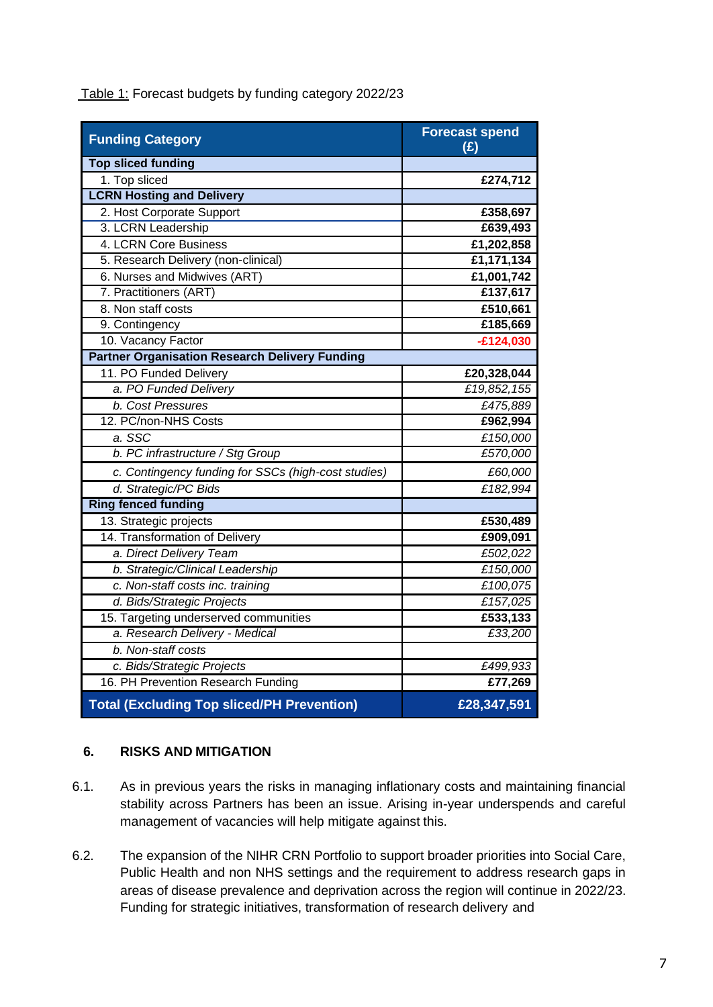| <b>Funding Category</b>                               | <b>Forecast spend</b><br>(E) |  |  |  |
|-------------------------------------------------------|------------------------------|--|--|--|
| <b>Top sliced funding</b>                             |                              |  |  |  |
| 1. Top sliced                                         | £274,712                     |  |  |  |
| <b>LCRN Hosting and Delivery</b>                      |                              |  |  |  |
| 2. Host Corporate Support                             | £358,697                     |  |  |  |
| 3. LCRN Leadership                                    | £639,493                     |  |  |  |
| 4. LCRN Core Business                                 | £1,202,858                   |  |  |  |
| 5. Research Delivery (non-clinical)                   | £1,171,134                   |  |  |  |
| 6. Nurses and Midwives (ART)                          | £1,001,742                   |  |  |  |
| 7. Practitioners (ART)                                | £137,617                     |  |  |  |
| 8. Non staff costs                                    | £510,661                     |  |  |  |
| 9. Contingency                                        | £185,669                     |  |  |  |
| 10. Vacancy Factor                                    | $-£124,030$                  |  |  |  |
| <b>Partner Organisation Research Delivery Funding</b> |                              |  |  |  |
| 11. PO Funded Delivery                                | £20,328,044                  |  |  |  |
| a. PO Funded Delivery                                 | £19,852,155                  |  |  |  |
| b. Cost Pressures                                     | £475,889                     |  |  |  |
| 12. PC/non-NHS Costs                                  | £962,994                     |  |  |  |
| a. SSC                                                | £150,000                     |  |  |  |
| b. PC infrastructure / Stg Group                      | £570,000                     |  |  |  |
| c. Contingency funding for SSCs (high-cost studies)   | £60,000                      |  |  |  |
| d. Strategic/PC Bids                                  | £182,994                     |  |  |  |
| <b>Ring fenced funding</b>                            |                              |  |  |  |
| 13. Strategic projects                                | £530,489                     |  |  |  |
| 14. Transformation of Delivery                        | £909,091                     |  |  |  |
| a. Direct Delivery Team                               | £502,022                     |  |  |  |
| b. Strategic/Clinical Leadership                      | £150,000                     |  |  |  |
| c. Non-staff costs inc. training                      | £100,075                     |  |  |  |
| d. Bids/Strategic Projects                            | £157,025                     |  |  |  |
| 15. Targeting underserved communities                 | £533,133                     |  |  |  |
| a. Research Delivery - Medical                        | £33,200                      |  |  |  |
| b. Non-staff costs                                    |                              |  |  |  |
| c. Bids/Strategic Projects                            | £499,933                     |  |  |  |
| 16. PH Prevention Research Funding                    | £77,269                      |  |  |  |
| <b>Total (Excluding Top sliced/PH Prevention)</b>     | £28,347,591                  |  |  |  |

Table 1: Forecast budgets by funding category 2022/23

## **6. RISKS AND MITIGATION**

- 6.1. As in previous years the risks in managing inflationary costs and maintaining financial stability across Partners has been an issue. Arising in-year underspends and careful management of vacancies will help mitigate against this.
- 6.2. The expansion of the NIHR CRN Portfolio to support broader priorities into Social Care, Public Health and non NHS settings and the requirement to address research gaps in areas of disease prevalence and deprivation across the region will continue in 2022/23. Funding for strategic initiatives, transformation of research delivery and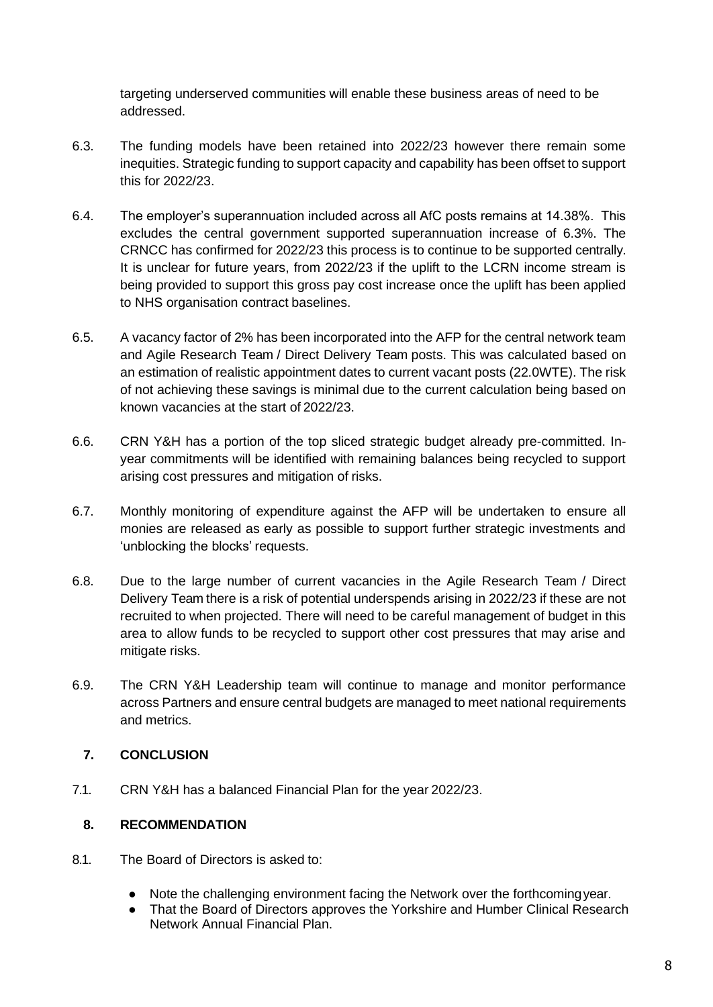targeting underserved communities will enable these business areas of need to be addressed.

- 6.3. The funding models have been retained into 2022/23 however there remain some inequities. Strategic funding to support capacity and capability has been offset to support this for 2022/23.
- 6.4. The employer's superannuation included across all AfC posts remains at 14.38%. This excludes the central government supported superannuation increase of 6.3%. The CRNCC has confirmed for 2022/23 this process is to continue to be supported centrally. It is unclear for future years, from 2022/23 if the uplift to the LCRN income stream is being provided to support this gross pay cost increase once the uplift has been applied to NHS organisation contract baselines.
- 6.5. A vacancy factor of 2% has been incorporated into the AFP for the central network team and Agile Research Team / Direct Delivery Team posts. This was calculated based on an estimation of realistic appointment dates to current vacant posts (22.0WTE). The risk of not achieving these savings is minimal due to the current calculation being based on known vacancies at the start of 2022/23.
- 6.6. CRN Y&H has a portion of the top sliced strategic budget already pre-committed. Inyear commitments will be identified with remaining balances being recycled to support arising cost pressures and mitigation of risks.
- 6.7. Monthly monitoring of expenditure against the AFP will be undertaken to ensure all monies are released as early as possible to support further strategic investments and 'unblocking the blocks' requests.
- 6.8. Due to the large number of current vacancies in the Agile Research Team / Direct Delivery Team there is a risk of potential underspends arising in 2022/23 if these are not recruited to when projected. There will need to be careful management of budget in this area to allow funds to be recycled to support other cost pressures that may arise and mitigate risks.
- 6.9. The CRN Y&H Leadership team will continue to manage and monitor performance across Partners and ensure central budgets are managed to meet national requirements and metrics.

## **7. CONCLUSION**

7.1. CRN Y&H has a balanced Financial Plan for the year 2022/23.

## **8. RECOMMENDATION**

- 8.1. The Board of Directors is asked to:
	- Note the challenging environment facing the Network over the forthcomingyear.
	- That the Board of Directors approves the Yorkshire and Humber Clinical Research Network Annual Financial Plan.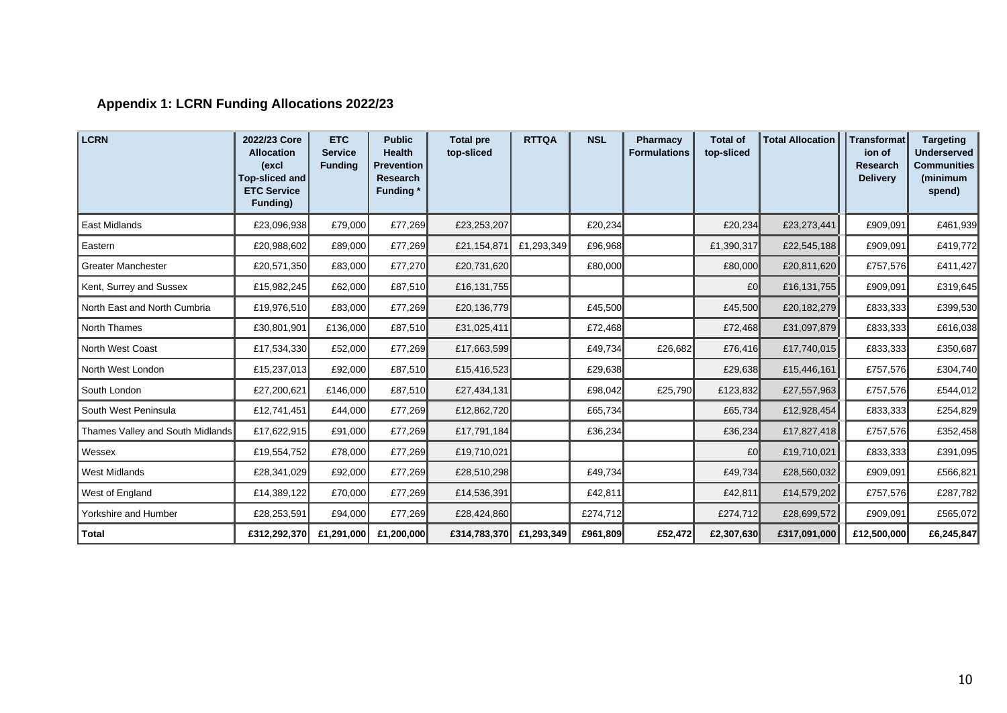# **Appendix 1: LCRN Funding Allocations 2022/23**

| <b>LCRN</b>                      | 2022/23 Core<br><b>Allocation</b><br>(excl<br><b>Top-sliced and</b><br><b>ETC Service</b><br>Funding) | <b>ETC</b><br><b>Service</b><br><b>Funding</b> | <b>Public</b><br><b>Health</b><br><b>Prevention</b><br>Research<br><b>Funding</b> * | <b>Total pre</b><br>top-sliced | <b>RTTQA</b> | <b>NSL</b> | <b>Pharmacy</b><br><b>Formulations</b> | <b>Total of</b><br>top-sliced | <b>Total Allocation</b> | Transformat<br>ion of<br><b>Research</b><br><b>Delivery</b> | <b>Targeting</b><br><b>Underserved</b><br><b>Communities</b><br>(minimum<br>spend) |
|----------------------------------|-------------------------------------------------------------------------------------------------------|------------------------------------------------|-------------------------------------------------------------------------------------|--------------------------------|--------------|------------|----------------------------------------|-------------------------------|-------------------------|-------------------------------------------------------------|------------------------------------------------------------------------------------|
| East Midlands                    | £23,096,938                                                                                           | £79,000                                        | £77,269                                                                             | £23,253,207                    |              | £20,234    |                                        | £20,234                       | £23,273,441             | £909,091                                                    | £461,939                                                                           |
| Eastern                          | £20,988,602                                                                                           | £89,000                                        | £77,269                                                                             | £21,154,871                    | £1,293,349   | £96,968    |                                        | £1,390,317                    | £22,545,188             | £909,091                                                    | £419,772                                                                           |
| <b>Greater Manchester</b>        | £20,571,350                                                                                           | £83,000                                        | £77,270                                                                             | £20,731,620                    |              | £80,000    |                                        | £80,000                       | £20,811,620             | £757,576                                                    | £411,427                                                                           |
| Kent, Surrey and Sussex          | £15,982,245                                                                                           | £62,000                                        | £87,510                                                                             | £16,131,755                    |              |            |                                        | £0                            | £16,131,755             | £909,091                                                    | £319,645                                                                           |
| North East and North Cumbria     | £19,976,510                                                                                           | £83,000                                        | £77,269                                                                             | £20,136,779                    |              | £45,500    |                                        | £45,500                       | £20,182,279             | £833,333                                                    | £399,530                                                                           |
| <b>North Thames</b>              | £30,801,901                                                                                           | £136,000                                       | £87,510                                                                             | £31,025,411                    |              | £72,468    |                                        | £72,468                       | £31,097,879             | £833,333                                                    | £616,038                                                                           |
| <b>North West Coast</b>          | £17,534,330                                                                                           | £52,000                                        | £77,269                                                                             | £17,663,599                    |              | £49,734    | £26,682                                | £76,416                       | £17,740,015             | £833,333                                                    | £350,687                                                                           |
| North West London                | £15,237,013                                                                                           | £92,000                                        | £87,510                                                                             | £15,416,523                    |              | £29,638    |                                        | £29,638                       | £15,446,161             | £757,576                                                    | £304,740                                                                           |
| South London                     | £27,200,621                                                                                           | £146,000                                       | £87,510                                                                             | £27,434,131                    |              | £98,042    | £25,790                                | £123,832                      | £27,557,963             | £757,576                                                    | £544,012                                                                           |
| South West Peninsula             | £12,741,451                                                                                           | £44,000                                        | £77,269                                                                             | £12,862,720                    |              | £65,734    |                                        | £65,734                       | £12,928,454             | £833,333                                                    | £254,829                                                                           |
| Thames Valley and South Midlands | £17,622,915                                                                                           | £91,000                                        | £77,269                                                                             | £17,791,184                    |              | £36,234    |                                        | £36,234                       | £17,827,418             | £757,576                                                    | £352,458                                                                           |
| Wessex                           | £19,554,752                                                                                           | £78,000                                        | £77,269                                                                             | £19,710,021                    |              |            |                                        | £0                            | £19,710,021             | £833,333                                                    | £391,095                                                                           |
| <b>West Midlands</b>             | £28,341,029                                                                                           | £92,000                                        | £77,269                                                                             | £28,510,298                    |              | £49,734    |                                        | £49,734                       | £28,560,032             | £909,091                                                    | £566,821                                                                           |
| West of England                  | £14,389,122                                                                                           | £70,000                                        | £77,269                                                                             | £14,536,391                    |              | £42,811    |                                        | £42,811                       | £14,579,202             | £757,576                                                    | £287,782                                                                           |
| Yorkshire and Humber             | £28,253,591                                                                                           | £94,000                                        | £77,269                                                                             | £28,424,860                    |              | £274,712   |                                        | £274,712                      | £28,699,572             | £909,091                                                    | £565,072                                                                           |
| <b>Total</b>                     | £312,292,370                                                                                          | £1,291,000                                     | £1,200,000                                                                          | £314,783,370                   | £1,293,349   | £961,809   | £52,472                                | £2,307,630                    | £317,091,000            | £12,500,000                                                 | £6,245,847                                                                         |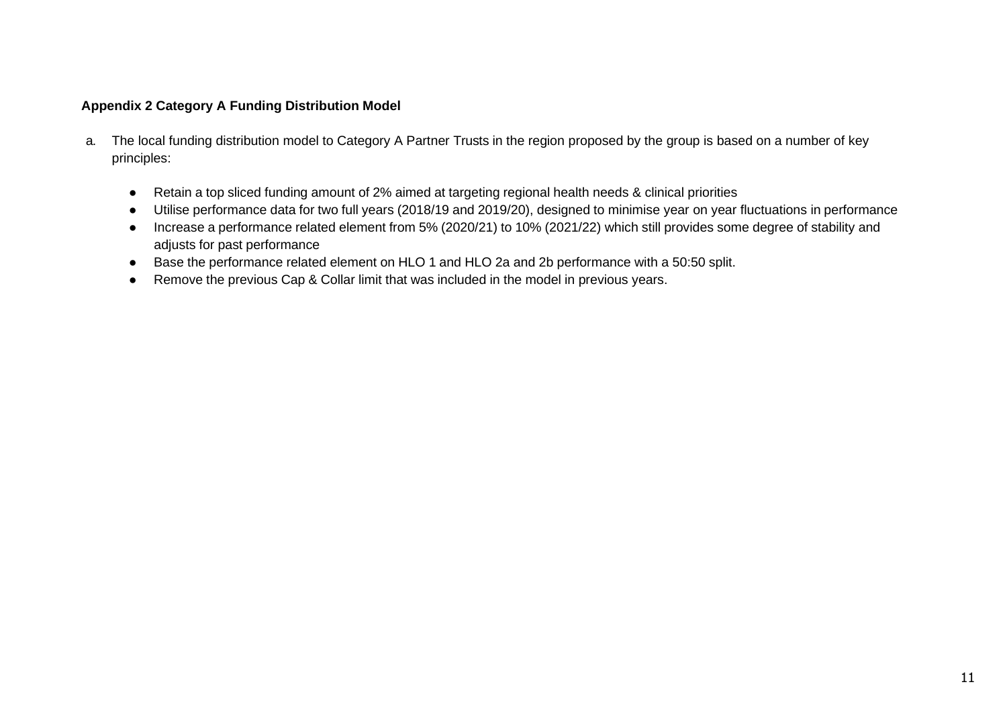#### **Appendix 2 Category A Funding Distribution Model**

- a. The local funding distribution model to Category A Partner Trusts in the region proposed by the group is based on a number of key principles:
	- Retain a top sliced funding amount of 2% aimed at targeting regional health needs & clinical priorities
	- Utilise performance data for two full years (2018/19 and 2019/20), designed to minimise year on year fluctuations in performance
	- Increase a performance related element from 5% (2020/21) to 10% (2021/22) which still provides some degree of stability and adjusts for past performance
	- Base the performance related element on HLO 1 and HLO 2a and 2b performance with a 50:50 split.
	- Remove the previous Cap & Collar limit that was included in the model in previous years.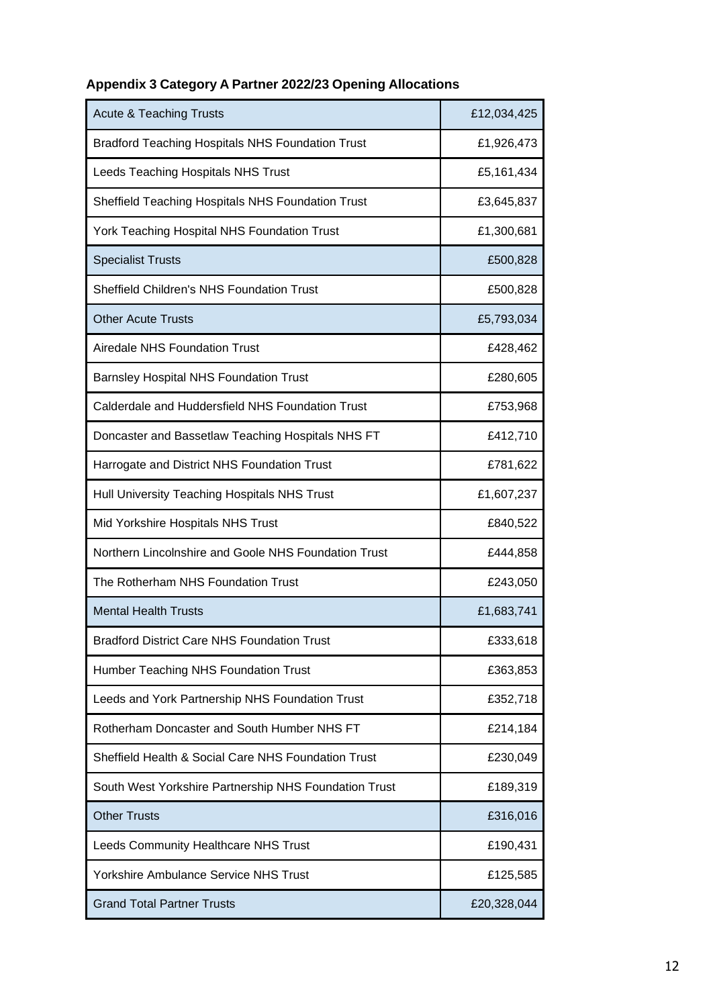| <b>Acute &amp; Teaching Trusts</b>                      | £12,034,425 |  |  |
|---------------------------------------------------------|-------------|--|--|
| <b>Bradford Teaching Hospitals NHS Foundation Trust</b> | £1,926,473  |  |  |
| Leeds Teaching Hospitals NHS Trust                      | £5,161,434  |  |  |
| Sheffield Teaching Hospitals NHS Foundation Trust       | £3,645,837  |  |  |
| York Teaching Hospital NHS Foundation Trust             | £1,300,681  |  |  |
| <b>Specialist Trusts</b>                                | £500,828    |  |  |
| Sheffield Children's NHS Foundation Trust               | £500,828    |  |  |
| <b>Other Acute Trusts</b>                               | £5,793,034  |  |  |
| Airedale NHS Foundation Trust                           | £428,462    |  |  |
| <b>Barnsley Hospital NHS Foundation Trust</b>           | £280,605    |  |  |
| Calderdale and Huddersfield NHS Foundation Trust        | £753,968    |  |  |
| Doncaster and Bassetlaw Teaching Hospitals NHS FT       | £412,710    |  |  |
| Harrogate and District NHS Foundation Trust             | £781,622    |  |  |
| Hull University Teaching Hospitals NHS Trust            | £1,607,237  |  |  |
| Mid Yorkshire Hospitals NHS Trust                       | £840,522    |  |  |
| Northern Lincolnshire and Goole NHS Foundation Trust    | £444,858    |  |  |
| The Rotherham NHS Foundation Trust                      | £243,050    |  |  |
| <b>Mental Health Trusts</b>                             | £1,683,741  |  |  |
| <b>Bradford District Care NHS Foundation Trust</b>      | £333,618    |  |  |
| Humber Teaching NHS Foundation Trust                    | £363,853    |  |  |
| Leeds and York Partnership NHS Foundation Trust         | £352,718    |  |  |
| Rotherham Doncaster and South Humber NHS FT             | £214,184    |  |  |
| Sheffield Health & Social Care NHS Foundation Trust     | £230,049    |  |  |
| South West Yorkshire Partnership NHS Foundation Trust   | £189,319    |  |  |
| <b>Other Trusts</b>                                     | £316,016    |  |  |
| Leeds Community Healthcare NHS Trust                    | £190,431    |  |  |
| Yorkshire Ambulance Service NHS Trust                   | £125,585    |  |  |
| <b>Grand Total Partner Trusts</b>                       | £20,328,044 |  |  |

# **Appendix 3 Category A Partner 2022/23 Opening Allocations**